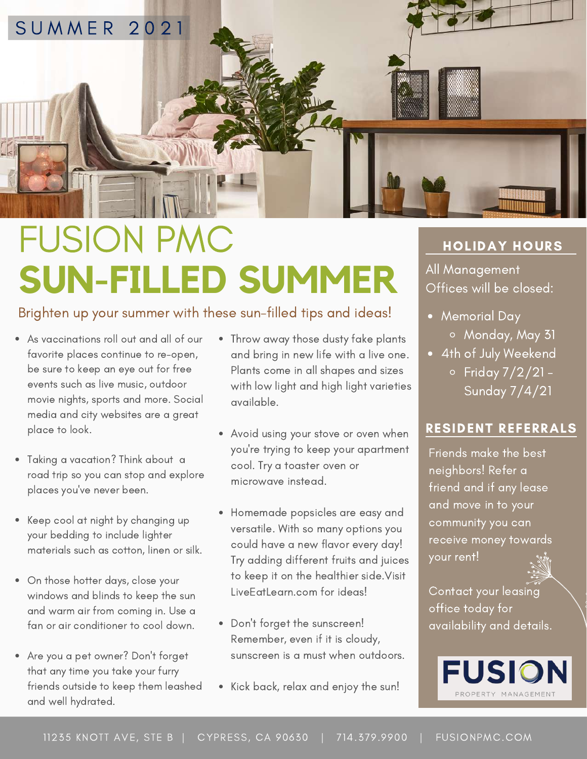

### FUSION PMC **SUN-FILLED SUMMER**

### Brighten up your summer with these sun-filled tips and ideas!

- As vaccinations roll out and all of our favorite places continue to re-open, be sure to keep an eye out for free events such as live music, outdoor movie nights, sports and more. Social media and city websites are a great place to look.
- Taking a vacation? Think about a road trip so you can stop and explore places you've never been.
- Keep cool at night by changing up your bedding to include lighter materials such as cotton, linen or silk.
- On those hotter days, close your windows and blinds to keep the sun and warm air from coming in. Use a fan or air conditioner to cool down.
- Are you a pet owner? Don't forget that any time you take your furry friends outside to keep them leashed and well hydrated.
- Throw away those dusty fake plants and bring in new life with a live one. Plants come in all shapes and sizes with low light and high light varieties available.
- Avoid using your stove or oven when you're trying to keep your apartment cool. Try a toaster oven or microwave instead.
- Homemade popsicles are easy and versatile. With so many options you could have a new flavor every day! Try adding different fruits and juices to keep it on the healthier side.Visit LiveEatLearn.com for ideas!
- Don't forget the sunscreen! Remember, even if it is cloudy, sunscreen is a must when outdoors.
- Kick back, relax and enjoy the sun!

#### HOLIDAY HOURS

All Management Offices will be closed:

- Memorial Day
	- Monday, May 31
- 4th of July Weekend
	- $\circ$  Friday  $7/2/21$  -Sunday 7/4/21

#### RESIDENT REFERRALS

Friends make the best neighbors! Refer a friend and if any lease and move in to your community you can receive money towards your rent!

Contact your leasing office today for availability and details.